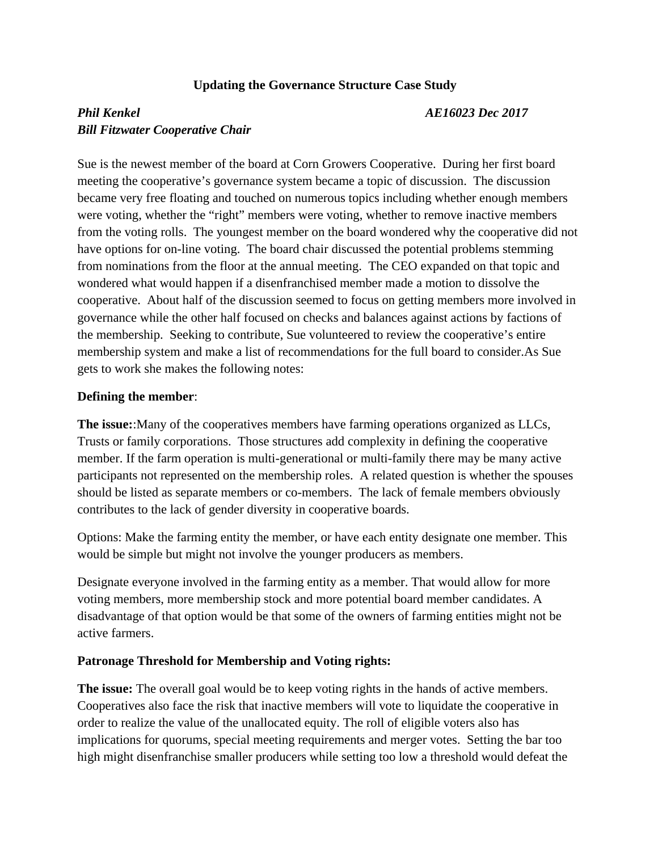## **Updating the Governance Structure Case Study**

# *Phil Kenkel AE16023 Dec 2017 Bill Fitzwater Cooperative Chair*

Sue is the newest member of the board at Corn Growers Cooperative. During her first board meeting the cooperative's governance system became a topic of discussion. The discussion became very free floating and touched on numerous topics including whether enough members were voting, whether the "right" members were voting, whether to remove inactive members from the voting rolls. The youngest member on the board wondered why the cooperative did not have options for on-line voting. The board chair discussed the potential problems stemming from nominations from the floor at the annual meeting. The CEO expanded on that topic and wondered what would happen if a disenfranchised member made a motion to dissolve the cooperative. About half of the discussion seemed to focus on getting members more involved in governance while the other half focused on checks and balances against actions by factions of the membership. Seeking to contribute, Sue volunteered to review the cooperative's entire membership system and make a list of recommendations for the full board to consider.As Sue gets to work she makes the following notes:

#### **Defining the member**:

**The issue:**:Many of the cooperatives members have farming operations organized as LLCs, Trusts or family corporations. Those structures add complexity in defining the cooperative member. If the farm operation is multi-generational or multi-family there may be many active participants not represented on the membership roles. A related question is whether the spouses should be listed as separate members or co-members. The lack of female members obviously contributes to the lack of gender diversity in cooperative boards.

Options: Make the farming entity the member, or have each entity designate one member. This would be simple but might not involve the younger producers as members.

Designate everyone involved in the farming entity as a member. That would allow for more voting members, more membership stock and more potential board member candidates. A disadvantage of that option would be that some of the owners of farming entities might not be active farmers.

### **Patronage Threshold for Membership and Voting rights:**

**The issue:** The overall goal would be to keep voting rights in the hands of active members. Cooperatives also face the risk that inactive members will vote to liquidate the cooperative in order to realize the value of the unallocated equity. The roll of eligible voters also has implications for quorums, special meeting requirements and merger votes. Setting the bar too high might disenfranchise smaller producers while setting too low a threshold would defeat the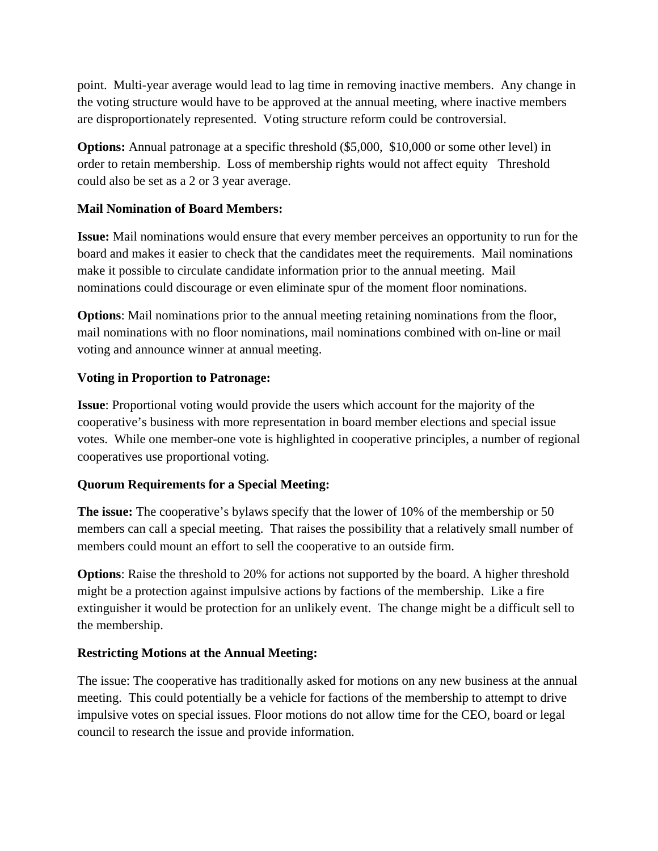point. Multi-year average would lead to lag time in removing inactive members. Any change in the voting structure would have to be approved at the annual meeting, where inactive members are disproportionately represented. Voting structure reform could be controversial.

**Options:** Annual patronage at a specific threshold (\$5,000, \$10,000 or some other level) in order to retain membership. Loss of membership rights would not affect equity Threshold could also be set as a 2 or 3 year average.

# **Mail Nomination of Board Members:**

**Issue:** Mail nominations would ensure that every member perceives an opportunity to run for the board and makes it easier to check that the candidates meet the requirements. Mail nominations make it possible to circulate candidate information prior to the annual meeting. Mail nominations could discourage or even eliminate spur of the moment floor nominations.

**Options**: Mail nominations prior to the annual meeting retaining nominations from the floor, mail nominations with no floor nominations, mail nominations combined with on-line or mail voting and announce winner at annual meeting.

# **Voting in Proportion to Patronage:**

**Issue**: Proportional voting would provide the users which account for the majority of the cooperative's business with more representation in board member elections and special issue votes. While one member-one vote is highlighted in cooperative principles, a number of regional cooperatives use proportional voting.

## **Quorum Requirements for a Special Meeting:**

**The issue:** The cooperative's bylaws specify that the lower of 10% of the membership or 50 members can call a special meeting. That raises the possibility that a relatively small number of members could mount an effort to sell the cooperative to an outside firm.

**Options**: Raise the threshold to 20% for actions not supported by the board. A higher threshold might be a protection against impulsive actions by factions of the membership. Like a fire extinguisher it would be protection for an unlikely event. The change might be a difficult sell to the membership.

## **Restricting Motions at the Annual Meeting:**

The issue: The cooperative has traditionally asked for motions on any new business at the annual meeting. This could potentially be a vehicle for factions of the membership to attempt to drive impulsive votes on special issues. Floor motions do not allow time for the CEO, board or legal council to research the issue and provide information.